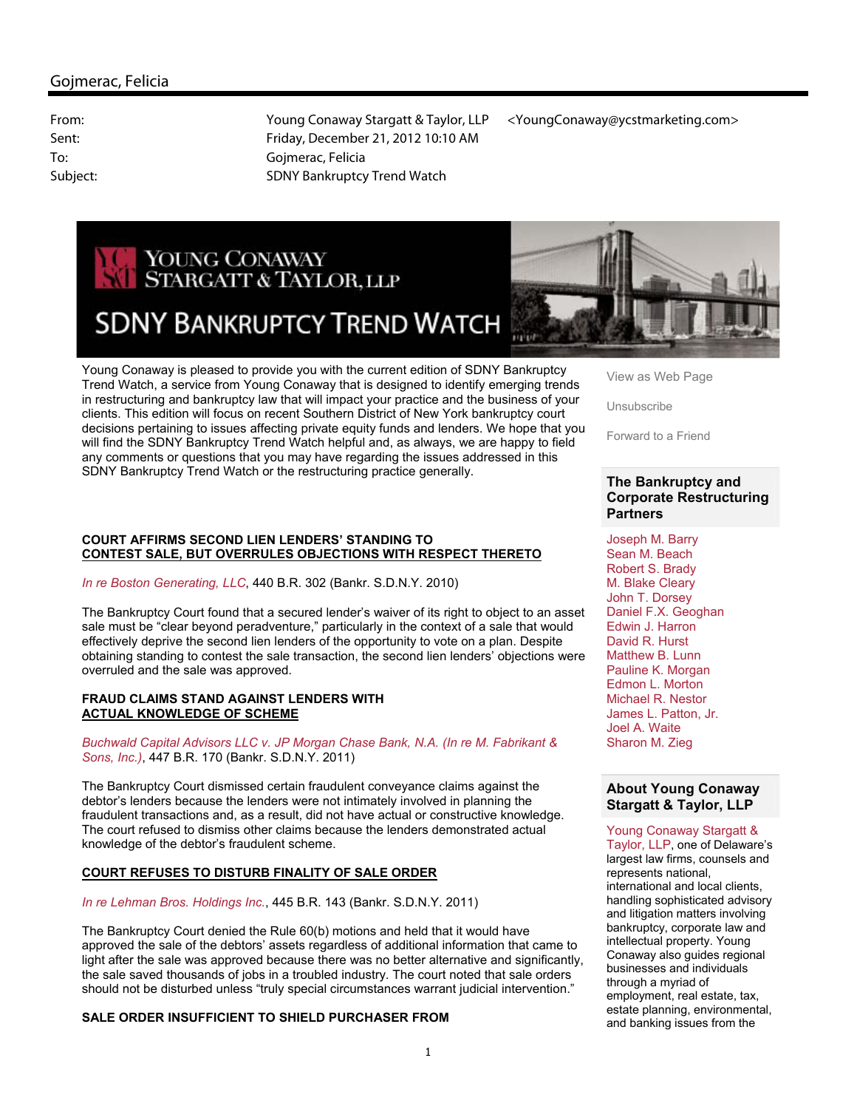

# **SDNY BANKRUPTCY TREND WATCH**



Young Conaway is pleased to provide you with the current edition of SDNY Bankruptcy Trend Watch, a service from Young Conaway that is designed to identify emerging trends in restructuring and bankruptcy law that will impact your practice and the business of your clients. This edition will focus on recent Southern District of New York bankruptcy court decisions pertaining to issues affecting private equity funds and lenders. We hope that you will find the SDNY Bankruptcy Trend Watch helpful and, as always, we are happy to field any comments or questions that you may have regarding the issues addressed in this SDNY Bankruptcy Trend Watch or the restructuring practice generally.

#### **COURT AFFIRMS SECOND LIEN LENDERS' STANDING TO CONTEST SALE, BUT OVERRULES OBJECTIONS WITH RESPECT THERETO**

*In re Boston Generating, LLC*, 440 B.R. 302 (Bankr. S.D.N.Y. 2010)

The Bankruptcy Court found that a secured lender's waiver of its right to object to an asset sale must be "clear beyond peradventure," particularly in the context of a sale that would effectively deprive the second lien lenders of the opportunity to vote on a plan. Despite obtaining standing to contest the sale transaction, the second lien lenders' objections were overruled and the sale was approved.

#### **FRAUD CLAIMS STAND AGAINST LENDERS WITH ACTUAL KNOWLEDGE OF SCHEME**

*Buchwald Capital Advisors LLC v. JP Morgan Chase Bank, N.A. (In re M. Fabrikant & Sons, Inc.)*, 447 B.R. 170 (Bankr. S.D.N.Y. 2011)

The Bankruptcy Court dismissed certain fraudulent conveyance claims against the debtor's lenders because the lenders were not intimately involved in planning the fraudulent transactions and, as a result, did not have actual or constructive knowledge. The court refused to dismiss other claims because the lenders demonstrated actual knowledge of the debtor's fraudulent scheme.

# **COURT REFUSES TO DISTURB FINALITY OF SALE ORDER**

*In re Lehman Bros. Holdings Inc.*, 445 B.R. 143 (Bankr. S.D.N.Y. 2011)

The Bankruptcy Court denied the Rule 60(b) motions and held that it would have approved the sale of the debtors' assets regardless of additional information that came to light after the sale was approved because there was no better alternative and significantly, the sale saved thousands of jobs in a troubled industry. The court noted that sale orders should not be disturbed unless "truly special circumstances warrant judicial intervention."

# **SALE ORDER INSUFFICIENT TO SHIELD PURCHASER FROM**

View as Web Page

Unsubscribe

Forward to a Friend

## **The Bankruptcy and Corporate Restructuring Partners**

Joseph M. Barry Sean M. Beach Robert S. Brady M. Blake Cleary John T. Dorsey Daniel F.X. Geoghan Edwin J. Harron David R. Hurst Matthew B. Lunn Pauline K. Morgan Edmon L. Morton Michael R. Nestor James L. Patton, Jr. Joel A. Waite Sharon M. Zieg

# **About Young Conaway Stargatt & Taylor, LLP**

Young Conaway Stargatt &

Taylor, LLP, one of Delaware's largest law firms, counsels and represents national, international and local clients, handling sophisticated advisory and litigation matters involving bankruptcy, corporate law and intellectual property. Young Conaway also guides regional businesses and individuals through a myriad of employment, real estate, tax, estate planning, environmental, and banking issues from the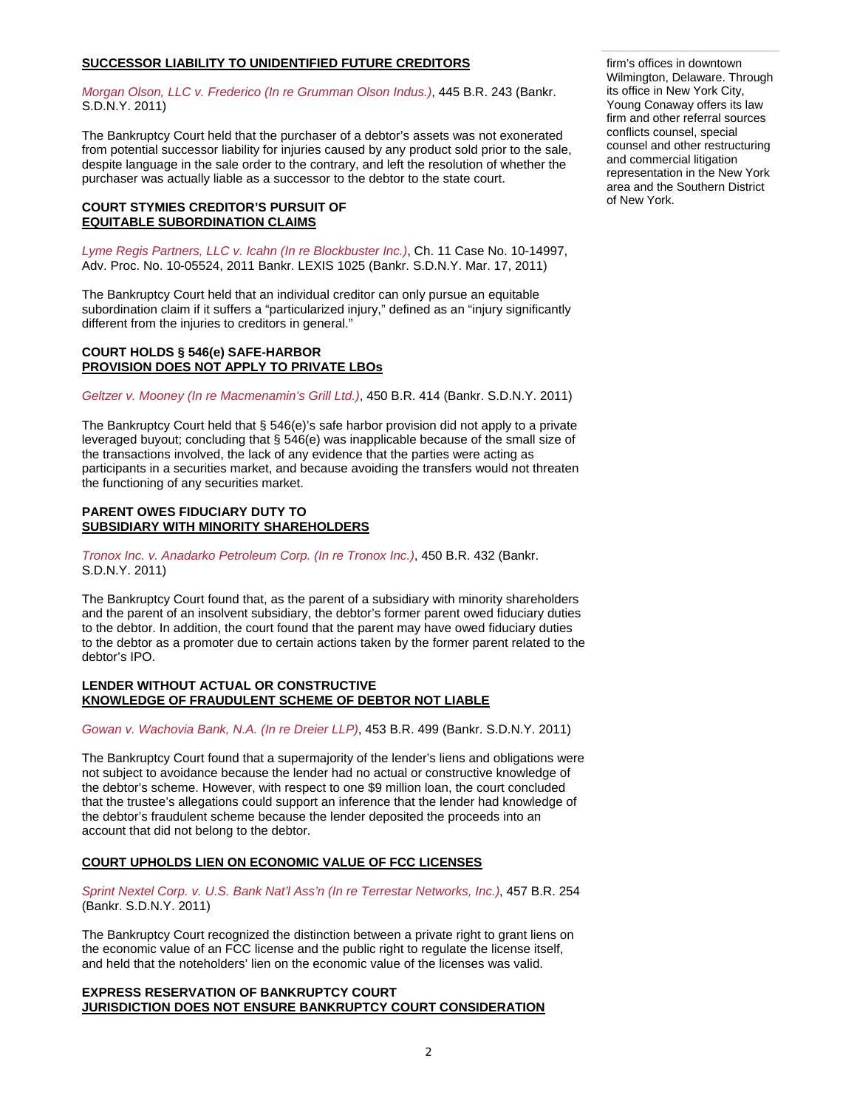# **SUCCESSOR LIABILITY TO UNIDENTIFIED FUTURE CREDITORS**

*Morgan Olson, LLC v. Frederico (In re Grumman Olson Indus.)*, 445 B.R. 243 (Bankr. S.D.N.Y. 2011)

The Bankruptcy Court held that the purchaser of a debtor's assets was not exonerated from potential successor liability for injuries caused by any product sold prior to the sale, despite language in the sale order to the contrary, and left the resolution of whether the purchaser was actually liable as a successor to the debtor to the state court.

## **COURT STYMIES CREDITOR'S PURSUIT OF EQUITABLE SUBORDINATION CLAIMS**

*Lyme Regis Partners, LLC v. Icahn (In re Blockbuster Inc.)*, Ch. 11 Case No. 10-14997, Adv. Proc. No. 10-05524, 2011 Bankr. LEXIS 1025 (Bankr. S.D.N.Y. Mar. 17, 2011)

The Bankruptcy Court held that an individual creditor can only pursue an equitable subordination claim if it suffers a "particularized injury," defined as an "injury significantly different from the injuries to creditors in general."

## **COURT HOLDS § 546(e) SAFE-HARBOR PROVISION DOES NOT APPLY TO PRIVATE LBOs**

*Geltzer v. Mooney (In re Macmenamin's Grill Ltd.)*, 450 B.R. 414 (Bankr. S.D.N.Y. 2011)

The Bankruptcy Court held that § 546(e)'s safe harbor provision did not apply to a private leveraged buyout; concluding that § 546(e) was inapplicable because of the small size of the transactions involved, the lack of any evidence that the parties were acting as participants in a securities market, and because avoiding the transfers would not threaten the functioning of any securities market.

## **PARENT OWES FIDUCIARY DUTY TO SUBSIDIARY WITH MINORITY SHAREHOLDERS**

*Tronox Inc. v. Anadarko Petroleum Corp. (In re Tronox Inc.)*, 450 B.R. 432 (Bankr. S.D.N.Y. 2011)

The Bankruptcy Court found that, as the parent of a subsidiary with minority shareholders and the parent of an insolvent subsidiary, the debtor's former parent owed fiduciary duties to the debtor. In addition, the court found that the parent may have owed fiduciary duties to the debtor as a promoter due to certain actions taken by the former parent related to the debtor's IPO.

## **LENDER WITHOUT ACTUAL OR CONSTRUCTIVE KNOWLEDGE OF FRAUDULENT SCHEME OF DEBTOR NOT LIABLE**

*Gowan v. Wachovia Bank, N.A. (In re Dreier LLP)*, 453 B.R. 499 (Bankr. S.D.N.Y. 2011)

The Bankruptcy Court found that a supermajority of the lender's liens and obligations were not subject to avoidance because the lender had no actual or constructive knowledge of the debtor's scheme. However, with respect to one \$9 million loan, the court concluded that the trustee's allegations could support an inference that the lender had knowledge of the debtor's fraudulent scheme because the lender deposited the proceeds into an account that did not belong to the debtor.

# **COURT UPHOLDS LIEN ON ECONOMIC VALUE OF FCC LICENSES**

*Sprint Nextel Corp. v. U.S. Bank Nat'l Ass'n (In re Terrestar Networks, Inc.)*, 457 B.R. 254 (Bankr. S.D.N.Y. 2011)

The Bankruptcy Court recognized the distinction between a private right to grant liens on the economic value of an FCC license and the public right to regulate the license itself, and held that the noteholders' lien on the economic value of the licenses was valid.

## **EXPRESS RESERVATION OF BANKRUPTCY COURT JURISDICTION DOES NOT ENSURE BANKRUPTCY COURT CONSIDERATION**

firm's offices in downtown Wilmington, Delaware. Through its office in New York City, Young Conaway offers its law firm and other referral sources conflicts counsel, special counsel and other restructuring and commercial litigation representation in the New York area and the Southern District of New York.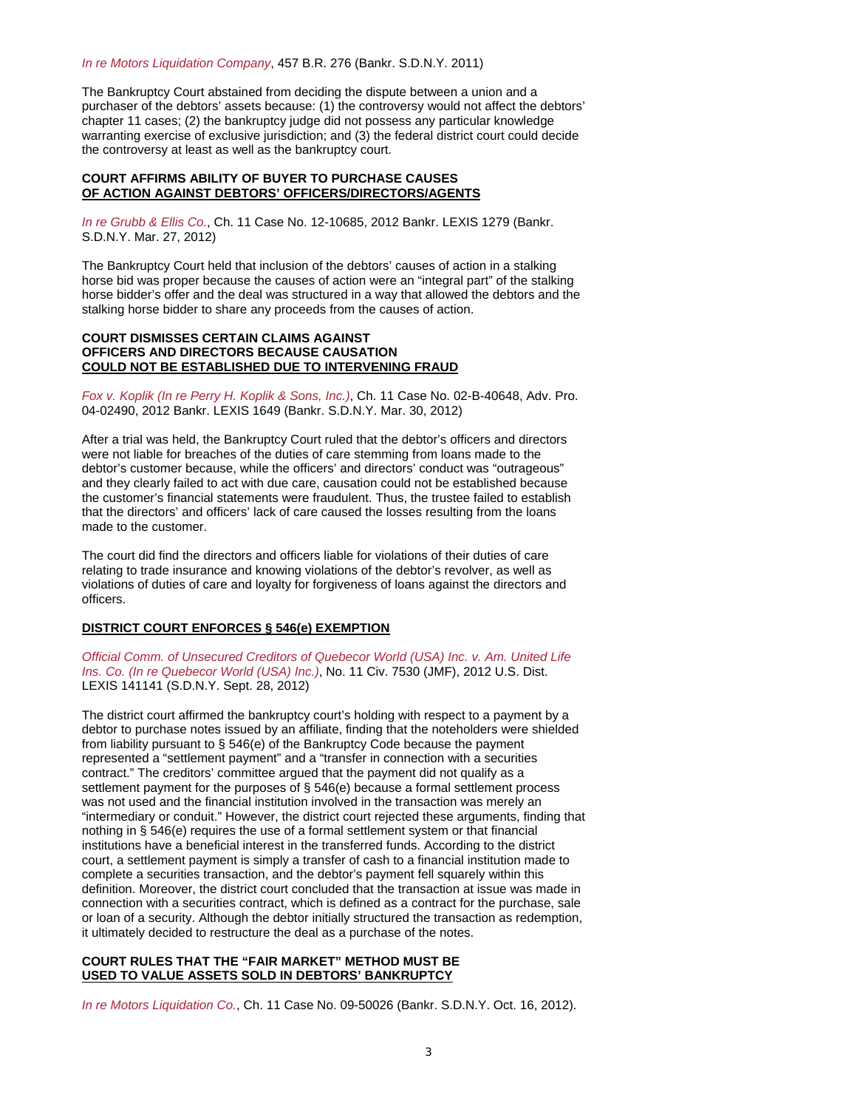#### *In re Motors Liquidation Company*, 457 B.R. 276 (Bankr. S.D.N.Y. 2011)

The Bankruptcy Court abstained from deciding the dispute between a union and a purchaser of the debtors' assets because: (1) the controversy would not affect the debtors' chapter 11 cases; (2) the bankruptcy judge did not possess any particular knowledge warranting exercise of exclusive jurisdiction; and (3) the federal district court could decide the controversy at least as well as the bankruptcy court.

## **COURT AFFIRMS ABILITY OF BUYER TO PURCHASE CAUSES OF ACTION AGAINST DEBTORS' OFFICERS/DIRECTORS/AGENTS**

*In re Grubb & Ellis Co.*, Ch. 11 Case No. 12-10685, 2012 Bankr. LEXIS 1279 (Bankr. S.D.N.Y. Mar. 27, 2012)

The Bankruptcy Court held that inclusion of the debtors' causes of action in a stalking horse bid was proper because the causes of action were an "integral part" of the stalking horse bidder's offer and the deal was structured in a way that allowed the debtors and the stalking horse bidder to share any proceeds from the causes of action.

## **COURT DISMISSES CERTAIN CLAIMS AGAINST OFFICERS AND DIRECTORS BECAUSE CAUSATION COULD NOT BE ESTABLISHED DUE TO INTERVENING FRAUD**

*Fox v. Koplik (In re Perry H. Koplik & Sons, Inc.)*, Ch. 11 Case No. 02-B-40648, Adv. Pro. 04-02490, 2012 Bankr. LEXIS 1649 (Bankr. S.D.N.Y. Mar. 30, 2012)

After a trial was held, the Bankruptcy Court ruled that the debtor's officers and directors were not liable for breaches of the duties of care stemming from loans made to the debtor's customer because, while the officers' and directors' conduct was "outrageous" and they clearly failed to act with due care, causation could not be established because the customer's financial statements were fraudulent. Thus, the trustee failed to establish that the directors' and officers' lack of care caused the losses resulting from the loans made to the customer.

The court did find the directors and officers liable for violations of their duties of care relating to trade insurance and knowing violations of the debtor's revolver, as well as violations of duties of care and loyalty for forgiveness of loans against the directors and officers.

## **DISTRICT COURT ENFORCES § 546(e) EXEMPTION**

*Official Comm. of Unsecured Creditors of Quebecor World (USA) Inc. v. Am. United Life Ins. Co. (In re Quebecor World (USA) Inc.)*, No. 11 Civ. 7530 (JMF), 2012 U.S. Dist. LEXIS 141141 (S.D.N.Y. Sept. 28, 2012)

The district court affirmed the bankruptcy court's holding with respect to a payment by a debtor to purchase notes issued by an affiliate, finding that the noteholders were shielded from liability pursuant to § 546(e) of the Bankruptcy Code because the payment represented a "settlement payment" and a "transfer in connection with a securities contract." The creditors' committee argued that the payment did not qualify as a settlement payment for the purposes of § 546(e) because a formal settlement process was not used and the financial institution involved in the transaction was merely an "intermediary or conduit." However, the district court rejected these arguments, finding that nothing in § 546(e) requires the use of a formal settlement system or that financial institutions have a beneficial interest in the transferred funds. According to the district court, a settlement payment is simply a transfer of cash to a financial institution made to complete a securities transaction, and the debtor's payment fell squarely within this definition. Moreover, the district court concluded that the transaction at issue was made in connection with a securities contract, which is defined as a contract for the purchase, sale or loan of a security. Although the debtor initially structured the transaction as redemption, it ultimately decided to restructure the deal as a purchase of the notes.

## **COURT RULES THAT THE "FAIR MARKET" METHOD MUST BE USED TO VALUE ASSETS SOLD IN DEBTORS' BANKRUPTCY**

*In re Motors Liquidation Co.*, Ch. 11 Case No. 09-50026 (Bankr. S.D.N.Y. Oct. 16, 2012).